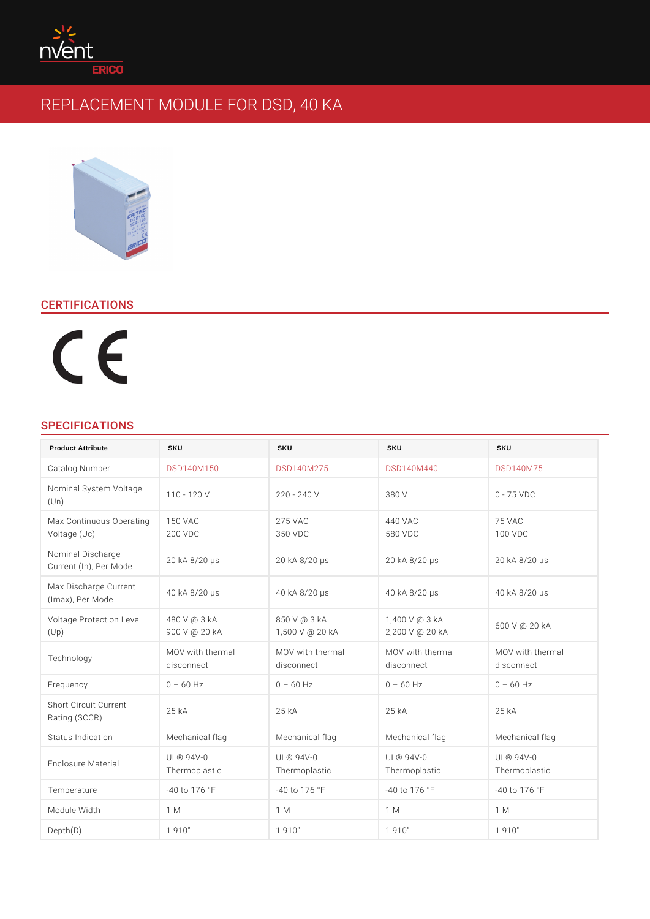# CERTIFICATIONS

# SPECIFICATIONS

| <b>Product Attribute</b>                                             | <b>SKU</b>                  | <b>SKU</b>                  | SKU                                                                            | <b>SKU</b>                  |
|----------------------------------------------------------------------|-----------------------------|-----------------------------|--------------------------------------------------------------------------------|-----------------------------|
| Catalog Number                                                       | <b>DSD140M150</b>           | <b>DSD140M275</b>           | <b>DSD140M440</b>                                                              | <b>DSD140M75</b>            |
| Nominal System Voltage<br>110 - 120 V<br>(U n)                       |                             | 220 - 240 V                 | 380 V                                                                          | $0 - 75$ VDC                |
| Max Continuous Opt50tMnAqC<br>Voltage (Uc)                           | 200 VDC                     | 275 VAC<br>350 VDC          | 440 VAC<br>580 VDC                                                             | 75 VAC<br>100 VDC           |
| Nominal Discharge<br>Current (In), Per Mode<br>                      |                             | 20 KA 8/20 1/4 S            | 20 KA 8/20 1/4 S                                                               | 20 KA 8/20 1/4 S            |
| Max Discharge Current 40 kA 8/20 $\frac{1}{4}$ s<br>(Imax), Per Mode |                             | 40 KA 8/20 1/4 S            | 40 KA 8/20 1/4 S                                                               | 40 KA 8/20 1/4 S            |
| Voltage Protection 4L8e0veVI @ 3 kA<br>(U p)                         | 900 V @ 20 kA               | 850 V @ 3 kA                | 1,400 V @ 3 kA<br>1,500 V @ 20 kA 2,200 V @ 20 kA                              | 600 V @ 20 KA               |
| Technology                                                           | disconnect                  | disconnect                  | MOV with thermalMOV with thermalMOV with thermalMOV with thermal<br>disconnect | disconnect                  |
| Frequency                                                            | 60 Hz<br>$\Omega$           | 60 Hz<br>$\Omega$           | 60 Hz<br>$\Omega$                                                              | 60 Hz<br>$\Omega$           |
| Short Circuit Current<br>25 kA<br>Rating (SCCR)                      |                             | 25 kA                       | 25 kA                                                                          | $25 \t\t kA$                |
| Status Indication                                                    | Mechanical flag             | Mechanical flag             | Mechanical flag                                                                | Mechanical flag             |
| Enclosure Material                                                   | $UL@94V-0$<br>Thermoplastic | $UL@94V-0$<br>Thermoplastic | $UL@94V-0$<br>Thermoplastic                                                    | $UL@94V-0$<br>Thermoplastic |
| Temperature                                                          | $-40$ to 176 °F             | $-40$ to 176 °F             | $-40$ to 176 °F                                                                | $-40$ to 176 °F             |
| Module Width                                                         | 1 M                         | 1 M                         | 1 M                                                                            | 1 M                         |
| Depth(D)                                                             | 1.910"                      | 1.910"                      | 1.910"                                                                         | 1.910"                      |